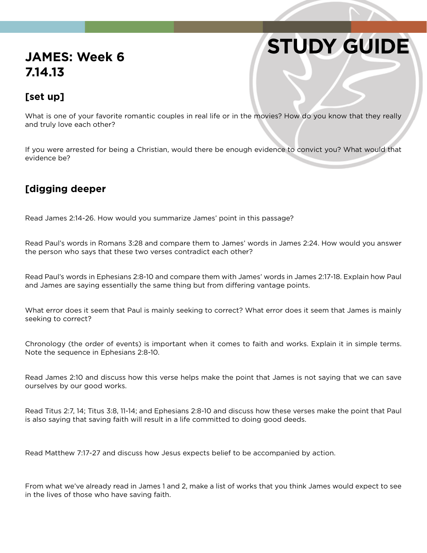## **STUDY GUIDE**

### **JAMES: Week 6 7.14.13**

#### **[set up]**

What is one of your favorite romantic couples in real life or in the movies? How do you know that they really and truly love each other?

If you were arrested for being a Christian, would there be enough evidence to convict you? What would that evidence be?

#### **[digging deeper**

Read James 2:14-26. How would you summarize James' point in this passage?

Read Paul's words in Romans 3:28 and compare them to James' words in James 2:24. How would you answer the person who says that these two verses contradict each other?

Read Paul's words in Ephesians 2:8-10 and compare them with James' words in James 2:17-18. Explain how Paul and James are saying essentially the same thing but from differing vantage points.

What error does it seem that Paul is mainly seeking to correct? What error does it seem that James is mainly seeking to correct?

Chronology (the order of events) is important when it comes to faith and works. Explain it in simple terms. Note the sequence in Ephesians 2:8-10.

Read James 2:10 and discuss how this verse helps make the point that James is not saying that we can save ourselves by our good works.

Read Titus 2:7, 14; Titus 3:8, 11-14; and Ephesians 2:8-10 and discuss how these verses make the point that Paul is also saying that saving faith will result in a life committed to doing good deeds.

Read Matthew 7:17-27 and discuss how Jesus expects belief to be accompanied by action.

From what we've already read in James 1 and 2, make a list of works that you think James would expect to see in the lives of those who have saving faith.